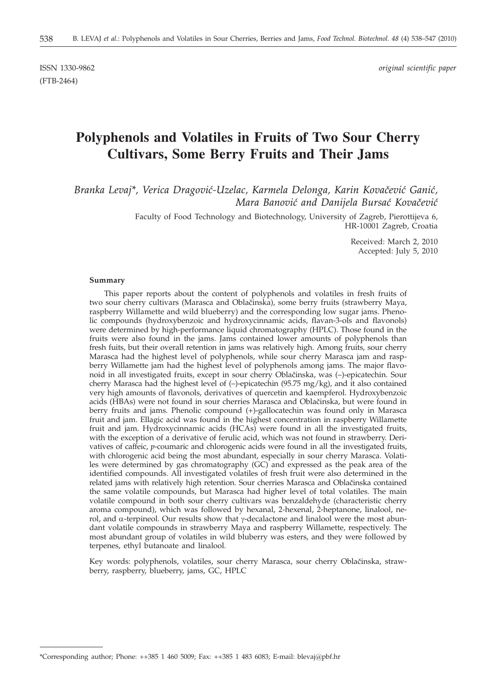(FTB-2464)

ISSN 1330-9862 *original scientific paper*

# **Polyphenols and Volatiles in Fruits of Two Sour Cherry Cultivars, Some Berry Fruits and Their Jams**

Branka Levaj\*, Verica Dragović-Uzelac, Karmela Delonga, Karin Kovačević Ganić, *Mara Banović and Danijela Bursać Kovačević* 

> Faculty of Food Technology and Biotechnology, University of Zagreb, Pierottijeva 6, HR-10001 Zagreb, Croatia

> > Received: March 2, 2010 Accepted: July 5, 2010

#### **Summary**

This paper reports about the content of polyphenols and volatiles in fresh fruits of two sour cherry cultivars (Marasca and Obla~inska), some berry fruits (strawberry Maya, raspberry Willamette and wild blueberry) and the corresponding low sugar jams. Phenolic compounds (hydroxybenzoic and hydroxycinnamic acids, flavan-3-ols and flavonols) were determined by high-performance liquid chromatography (HPLC). Those found in the fruits were also found in the jams. Jams contained lower amounts of polyphenols than fresh fuits, but their overall retention in jams was relatively high. Among fruits, sour cherry Marasca had the highest level of polyphenols, while sour cherry Marasca jam and raspberry Willamette jam had the highest level of polyphenols among jams. The major flavonoid in all investigated fruits, except in sour cherry Obla~inska, was (–)-epicatechin. Sour cherry Marasca had the highest level of (–)-epicatechin (95.75 mg/kg), and it also contained very high amounts of flavonols, derivatives of quercetin and kaempferol. Hydroxybenzoic acids (HBAs) were not found in sour cherries Marasca and Oblačinska, but were found in berry fruits and jams. Phenolic compound (+)-gallocatechin was found only in Marasca fruit and jam. Ellagic acid was found in the highest concentration in raspberry Willamette fruit and jam. Hydroxycinnamic acids (HCAs) were found in all the investigated fruits, with the exception of a derivative of ferulic acid, which was not found in strawberry. Derivatives of caffeic, *p*-coumaric and chlorogenic acids were found in all the investigated fruits, with chlorogenic acid being the most abundant, especially in sour cherry Marasca. Volatiles were determined by gas chromatography (GC) and expressed as the peak area of the identified compounds. All investigated volatiles of fresh fruit were also determined in the related jams with relatively high retention. Sour cherries Marasca and Oblačinska contained the same volatile compounds, but Marasca had higher level of total volatiles. The main volatile compound in both sour cherry cultivars was benzaldehyde (characteristic cherry aroma compound), which was followed by hexanal, 2-hexenal, 2-heptanone, linalool, nerol, and  $\alpha$ -terpineol. Our results show that  $\gamma$ -decalactone and linalool were the most abundant volatile compounds in strawberry Maya and raspberry Willamette, respectively. The most abundant group of volatiles in wild bluberry was esters, and they were followed by terpenes, ethyl butanoate and linalool.

Key words: polyphenols, volatiles, sour cherry Marasca, sour cherry Oblačinska, strawberry, raspberry, blueberry, jams, GC, HPLC

<sup>\*</sup>Corresponding author; Phone: ++385 1 460 5009; Fax: ++385 1 483 6083; E-mail: blevaj@pbf.hr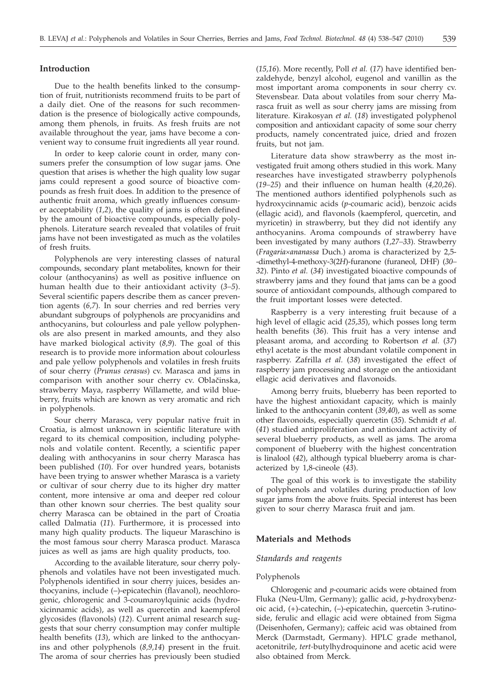# **Introduction**

Due to the health benefits linked to the consumption of fruit, nutritionists recommend fruits to be part of a daily diet. One of the reasons for such recommendation is the presence of biologically active compounds, among them phenols, in fruits. As fresh fruits are not available throughout the year, jams have become a convenient way to consume fruit ingredients all year round.

In order to keep calorie count in order, many consumers prefer the consumption of low sugar jams. One question that arises is whether the high quality low sugar jams could represent a good source of bioactive compounds as fresh fruit does. In addition to the presence of authentic fruit aroma, which greatly influences consumer acceptability (*1,2*), the quality of jams is often defined by the amount of bioactive compounds, especially polyphenols. Literature search revealed that volatiles of fruit jams have not been investigated as much as the volatiles of fresh fruits.

Polyphenols are very interesting classes of natural compounds, secondary plant metabolites, known for their colour (anthocyanins) as well as positive influence on human health due to their antioxidant activity (*3–5*). Several scientific papers describe them as cancer prevention agents (*6,7*). In sour cherries and red berries very abundant subgroups of polyphenols are procyanidins and anthocyanins, but colourless and pale yellow polyphenols are also present in marked amounts, and they also have marked biological activity (*8,9*). The goal of this research is to provide more information about colourless and pale yellow polyphenols and volatiles in fresh fruits of sour cherry (*Prunus cerasus*) cv. Marasca and jams in comparison with another sour cherry cv. Oblačinska, strawberry Maya, raspberry Willamette, and wild blueberry, fruits which are known as very aromatic and rich in polyphenols.

Sour cherry Marasca, very popular native fruit in Croatia, is almost unknown in scientific literature with regard to its chemical composition, including polyphenols and volatile content. Recently, a scientific paper dealing with anthocyanins in sour cherry Marasca has been published (*10*). For over hundred years, botanists have been trying to answer whether Marasca is a variety or cultivar of sour cherry due to its higher dry matter content, more intensive ar oma and deeper red colour than other known sour cherries. The best quality sour cherry Marasca can be obtained in the part of Croatia called Dalmatia (*11*). Furthermore, it is processed into many high quality products. The liqueur Maraschino is the most famous sour cherry Marasca product. Marasca juices as well as jams are high quality products, too.

According to the available literature, sour cherry polyphenols and volatiles have not been investigated much. Polyphenols identified in sour cherry juices, besides anthocyanins, include (–)-epicatechin (flavanol), neochlorogenic, chlorogenic and 3-coumaroylquinic acids (hydroxicinnamic acids), as well as quercetin and kaempferol glycosides (flavonols) (*12*). Current animal research suggests that sour cherry consumption may confer multiple health benefits (*13*), which are linked to the anthocyanins and other polyphenols (*8,9,14*) present in the fruit. The aroma of sour cherries has previously been studied (*15,16*). More recently, Poll *et al.* (*17*) have identified benzaldehyde, benzyl alcohol, eugenol and vanillin as the most important aroma components in sour cherry cv. Stevensbear. Data about volatiles from sour cherry Marasca fruit as well as sour cherry jams are missing from literature. Kirakosyan *et al.* (*18*) investigated polyphenol composition and antioxidant capacity of some sour cherry products, namely concentrated juice, dried and frozen fruits, but not jam.

Literature data show strawberry as the most investigated fruit among others studied in this work. Many researches have investigated strawberry polyphenols (*19–25*) and their influence on human health (*4,20,26*). The mentioned authors identified polyphenols such as hydroxycinnamic acids (*p*-coumaric acid), benzoic acids (ellagic acid), and flavonols (kaempferol, quercetin, and myricetin) in strawberry, but they did not identify any anthocyanins. Aroma compounds of strawberry have been investigated by many authors (*1,27–33*). Strawberry (*Fragaria´ananassa* Duch.) aroma is characterized by 2,5- -dimethyl-4-methoxy-3(2*H*)-furanone (furaneol, DHF) (*30– 32*). Pinto *et al.* (*34*) investigated bioactive compounds of strawberry jams and they found that jams can be a good source of antioxidant compounds, although compared to the fruit important losses were detected.

Raspberry is a very interesting fruit because of a high level of ellagic acid (*25,35*), which posses long term health benefits (*36*). This fruit has a very intense and pleasant aroma, and according to Robertson *et al.* (*37*) ethyl acetate is the most abundant volatile component in raspberry. Zafrilla *et al.* (*38*) investigated the effect of raspberry jam processing and storage on the antioxidant ellagic acid derivatives and flavonoids.

Among berry fruits, blueberry has been reported to have the highest antioxidant capacity, which is mainly linked to the anthocyanin content (*39,40*), as well as some other flavonoids, especially quercetin (*35*). Schmidt *et al.* (*41*) studied antiproliferation and antioxidant activity of several blueberry products, as well as jams. The aroma component of blueberry with the highest concentration is linalool (*42*), although typical blueberry aroma is characterized by 1,8-cineole (*43*).

The goal of this work is to investigate the stability of polyphenols and volatiles during production of low sugar jams from the above fruits. Special interest has been given to sour cherry Marasca fruit and jam.

## **Materials and Methods**

## *Standards and reagents*

## Polyphenols

Chlorogenic and *p*-coumaric acids were obtained from Fluka (Neu-Ulm, Germany); gallic acid, *p*-hydroxybenzoic acid, (+)-catechin, (–)-epicatechin, quercetin 3-rutinoside, ferulic and ellagic acid were obtained from Sigma (Deisenhofen, Germany); caffeic acid was obtained from Merck (Darmstadt, Germany). HPLC grade methanol, acetonitrile, *tert-*butylhydroquinone and acetic acid were also obtained from Merck.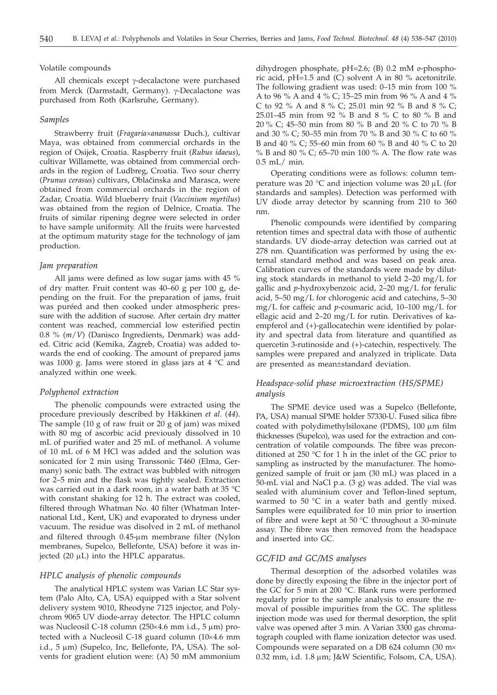#### Volatile compounds

All chemicals except  $\gamma$ -decalactone were purchased from Merck (Darmstadt, Germany). γ-Decalactone was purchased from Roth (Karlsruhe, Germany).

#### *Samples*

Strawberry fruit (*Fragaria´ananassa* Duch.), cultivar Maya, was obtained from commercial orchards in the region of Osijek, Croatia. Raspberry fruit (*Rubus idaeus*), cultivar Willamette, was obtained from commercial orchards in the region of Ludbreg, Croatia. Two sour cherry (*Prunus cerasus*) cultivars, Obla~inska and Marasca, were obtained from commercial orchards in the region of Zadar, Croatia. Wild blueberry fruit (*Vaccinium myrtilus*) was obtained from the region of Delnice, Croatia. The fruits of similar ripening degree were selected in order to have sample uniformity. All the fruits were harvested at the optimum maturity stage for the technology of jam production.

#### *Jam preparation*

All jams were defined as low sugar jams with 45 % of dry matter. Fruit content was 40–60 g per 100 g, depending on the fruit. For the preparation of jams, fruit was puréed and then cooked under atmospheric pressure with the addition of sucrose. After certain dry matter content was reached, commercial low esterified pectin 0.8 % (*m*/*V*) (Danisco Ingredients, Denmark) was added. Citric acid (Kemika, Zagreb, Croatia) was added towards the end of cooking. The amount of prepared jams was 1000 g. Jams were stored in glass jars at 4 °C and analyzed within one week.

#### *Polyphenol extraction*

The phenolic compounds were extracted using the procedure previously described by Häkkinen *et al*. (*44*). The sample (10 g of raw fruit or 20 g of jam) was mixed with 80 mg of ascorbic acid previously dissolved in 10 mL of purified water and 25 mL of methanol. A volume of 10 mL of 6 M HCl was added and the solution was sonicated for 2 min using Transsonic T460 (Elma, Germany) sonic bath. The extract was bubbled with nitrogen for 2–5 min and the flask was tightly sealed. Extraction was carried out in a dark room, in a water bath at 35 °C with constant shaking for 12 h. The extract was cooled, filtered through Whatman No. 40 filter (Whatman International Ltd., Kent, UK) and evaporated to dryness under vacuum. The residue was disolved in 2 mL of methanol and filtered through  $0.45$ -µm membrane filter (Nylon membranes, Supelco, Bellefonte, USA) before it was injected  $(20 \mu L)$  into the HPLC apparatus.

## *HPLC analysis of phenolic compounds*

The analytical HPLC system was Varian LC Star system (Palo Alto, CA, USA) equipped with a Star solvent delivery system 9010, Rheodyne 7125 injector, and Polychrom 9065 UV diode-array detector. The HPLC column was Nucleosil C-18 column (250 $\times$ 4.6 mm i.d., 5 µm) protected with a Nucleosil C-18 guard column  $(10\times4.6$  mm i.d.,  $5 \mu m$ ) (Supelco, Inc, Bellefonte, PA, USA). The solvents for gradient elution were: (A) 50 mM ammonium

dihydrogen phosphate, pH=2.6; (B) 0.2 mM *o*-phosphoric acid, pH=1.5 and (C) solvent A in 80 % acetonitrile. The following gradient was used: 0–15 min from 100 % A to 96 % A and 4 % C; 15–25 min from 96 % A and 4 % C to 92 % A and 8 % C; 25.01 min 92 % B and 8 % C; 25.01–45 min from 92 % B and 8 % C to 80 % B and 20 % C; 45–50 min from 80 % B and 20 % C to 70 % B and 30 % C; 50–55 min from 70 % B and 30 % C to 60 % B and 40 % C; 55–60 min from 60 % B and 40 % C to 20 % B and 80 % C; 65–70 min 100 % A. The flow rate was 0.5 mL/ min.

Operating conditions were as follows: column temperature was 20  $\degree$ C and injection volume was 20  $\mu$ L (for standards and samples). Detection was performed with UV diode array detector by scanning from 210 to 360 nm.

Phenolic compounds were identified by comparing retention times and spectral data with those of authentic standards. UV diode-array detection was carried out at 278 nm. Quantification was performed by using the external standard method and was based on peak area. Calibration curves of the standards were made by diluting stock standards in methanol to yield 2–20 mg/L for gallic and *p*-hydroxybenzoic acid, 2–20 mg/L for ferulic acid, 5–50 mg/L for chlorogenic acid and catechins, 5–30 mg/L for caffeic and *p*-coumaric acid, 10–100 mg/L for ellagic acid and 2–20 mg/L for rutin. Derivatives of kaempferol and (+)-gallocatechin were identified by polarity and spectral data from literature and quantified as quercetin 3-rutinoside and (+)-catechin, respectively. The samples were prepared and analyzed in triplicate. Data are presented as mean±standard deviation.

# *Headspace-solid phase microextraction (HS/SPME) analysis*

The SPME device used was a Supelco (Bellefonte, PA, USA) manual SPME holder 57330-U. Fused silica fibre coated with polydimethylsiloxane (PDMS),  $100 \mu m$  film thicknesses (Supelco), was used for the extraction and concentration of volatile compounds. The fibre was preconditioned at 250 °C for 1 h in the inlet of the GC prior to sampling as instructed by the manufacturer. The homogenized sample of fruit or jam (30 mL) was placed in a 50-mL vial and NaCl p.a. (3 g) was added. The vial was sealed with aluminium cover and Teflon-lined septum, warmed to 50  $\degree$ C in a water bath and gently mixed. Samples were equilibrated for 10 min prior to insertion of fibre and were kept at 50 °C throughout a 30-minute assay. The fibre was then removed from the headspace and inserted into GC.

#### *GC/FID and GC/MS analyses*

Thermal desorption of the adsorbed volatiles was done by directly exposing the fibre in the injector port of the GC for 5 min at 200 °C. Blank runs were performed regularly prior to the sample analysis to ensure the removal of possible impurities from the GC. The splitless injection mode was used for thermal desorption, the split valve was opened after 3 min. A Varian 3300 gas chromatograph coupled with flame ionization detector was used. Compounds were separated on a DB 624 column (30  $\text{mx}$ ) 0.32 mm, i.d. 1.8 µm; J&W Scientific, Folsom, CA, USA).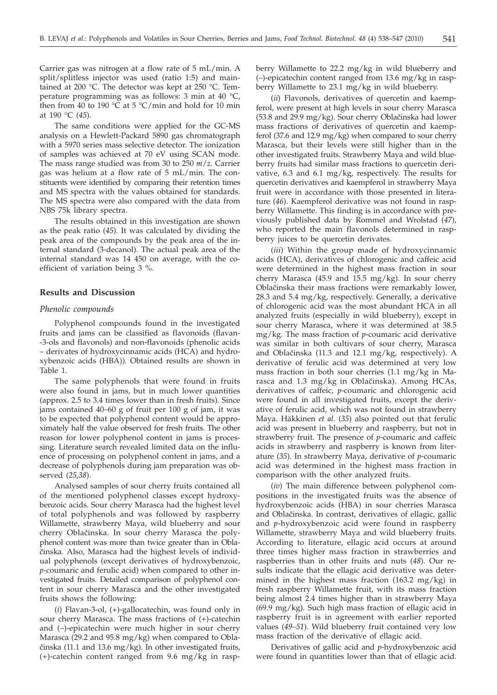Carrier gas was nitrogen at a flow rate of 5 mL/min. A split/splitless injector was used (ratio 1:5) and maintained at 200 °C. The detector was kept at 250 °C. Temperature programming was as follows: 3 min at 40 °C, then from 40 to 190 °C at 5 °C/min and hold for 10 min at 190 °C (*45*).

The same conditions were applied for the GC-MS analysis on a Hewlett-Packard 5890 gas chromatograph with a 5970 series mass selective detector. The ionization of samples was achieved at 70 eV using SCAN mode. The mass range studied was from 30 to 250 *m*/*z*. Carrier gas was helium at a flow rate of 5 mL/min. The constituents were identified by comparing their retention times and MS spectra with the values obtained for standards. The MS spectra were also compared with the data from NBS 75k library spectra.

The results obtained in this investigation are shown as the peak ratio (*45*)*.* It was calculated by dividing the peak area of the compounds by the peak area of the internal standard (3-decanol). The actual peak area of the internal standard was 14 450 on average, with the coefficient of variation being 3 %.

## **Results and Discussion**

# *Phenolic compounds*

Polyphenol compounds found in the investigated fruits and jams can be classified as flavonoids (flavan- -3-ols and flavonols) and non-flavonoids (phenolic acids – derivates of hydroxycinnamic acids (HCA) and hydroxybenzoic acids (HBA)). Obtained results are shown in Table 1.

The same polyphenols that were found in fruits were also found in jams, but in much lower quantities (approx. 2.5 to 3.4 times lower than in fresh fruits). Since jams contained 40–60 g of fruit per 100 g of jam, it was to be expected that polyphenol content would be approximately half the value observed for fresh fruits. The other reason for lower polyphenol content in jams is processing. Literature search revealed limited data on the influence of processing on polyphenol content in jams, and a decrease of polyphenols during jam preparation was observed (*25,38*).

Analysed samples of sour cherry fruits contained all of the mentioned polyphenol classes except hydroxybenzoic acids. Sour cherry Marasca had the highest level of total polyphenols and was followed by raspberry Willamette, strawberry Maya, wild blueberry and sour cherry Oblačinska. In sour cherry Marasca the polyphenol content was more than twice greater than in Obla činska. Also, Marasca had the highest levels of individual polyphenols (except derivatives of hydroxybenzoic, *p-*coumaric and ferulic acid) when compared to other investigated fruits. Detailed comparison of polyphenol content in sour cherry Marasca and the other investigated fruits shows the following:

(*i*) Flavan-3-ol, (+)-gallocatechin, was found only in sour cherry Marasca. The mass fractions of (+)-catechin and (–)-epicatechin were much higher in sour cherry Marasca (29.2 and 95.8 mg/kg) when compared to Obla-  $\text{činska}$  (11.1 and 13.6 mg/kg). In other investigated fruits, (+)-catechin content ranged from 9.6 mg/kg in rasp-

berry Willamette to 22.2 mg/kg in wild blueberry and (–)-epicatechin content ranged from 13.6 mg/kg in raspberry Willamette to 23.1 mg/kg in wild blueberry.

(*ii*) Flavonols, derivatives of quercetin and kaempferol, were present at high levels in sour cherry Marasca  $(53.8 \text{ and } 29.9 \text{ mg/kg})$ . Sour cherry Oblačinska had lower mass fractions of derivatives of quercetin and kaempferol (37.6 and 12.9 mg/kg) when compared to sour cherry Marasca, but their levels were still higher than in the other investigated fruits. Strawberry Maya and wild blueberry fruits had similar mass fractions to quercetin derivative, 6.3 and 6.1 mg/kg, respectively. The results for quercetin derivatives and kaempferol in strawberry Maya fruit were in accordance with those presented in literature (*46*). Kaempferol derivative was not found in raspberry Willamette. This finding is in accordance with previously published data by Rommel and Wrolstad (*47*), who reported the main flavonols determined in raspberry juices to be quercetin derivates.

(*iii*) Within the group made of hydroxycinnamic acids (HCA), derivatives of chlorogenic and caffeic acid were determined in the highest mass fraction in sour cherry Marasca (45.9 and 15.5 mg/kg). In sour cherry Oblačinska their mass fractions were remarkably lower, 28.3 and 5.4 mg/kg, respectively. Generally, a derivative of chlorogenic acid was the most abundant HCA in all analyzed fruits (especially in wild blueberry), except in sour cherry Marasca, where it was determined at 38.5 mg/kg. The mass fraction of *p*-coumaric acid derivative was similar in both cultivars of sour cherry, Marasca and Oblačinska (11.3 and 12.1 mg/kg, respectively). A derivative of ferulic acid was determined at very low mass fraction in both sour cherries (1.1 mg/kg in Marasca and 1.3 mg/kg in Oblačinska). Among HCAs, derivatives of caffeic, *p*-coumaric and chlorogenic acid were found in all investigated fruits, except the derivative of ferulic acid, which was not found in strawberry Maya. Häkkinen *et al.* (*35*) also pointed out that ferulic acid was present in blueberry and raspberry, but not in strawberry fruit. The presence of *p*-coumaric and caffeic acids in strawberry and raspberry is known from literature (*35*). In strawberry Maya, derivative of *p*-coumaric acid was determined in the highest mass fraction in comparison with the other analyzed fruits.

(*iv*) The main difference between polyphenol compositions in the investigated fruits was the absence of hydroxybenzoic acids (HBA) in sour cherries Marasca and Oblačinska. In contrast, derivatives of ellagic, gallic and *p*-hydroxybenzoic acid were found in raspberry Willamette, strawberry Maya and wild blueberry fruits. According to literature, ellagic acid occurs at around three times higher mass fraction in strawberries and raspberries than in other fruits and nuts (*48*). Our results indicate that the ellagic acid derivative was determined in the highest mass fraction (163.2 mg/kg) in fresh raspberry Willamette fruit, with its mass fraction being almost 2.4 times higher than in strawberry Maya (69.9 mg/kg). Such high mass fraction of ellagic acid in raspberry fruit is in agreement with earlier reported values (*49–51*). Wild blueberry fruit contained very low mass fraction of the derivative of ellagic acid.

Derivatives of gallic acid and *p*-hydroxybenzoic acid were found in quantities lower than that of ellagic acid.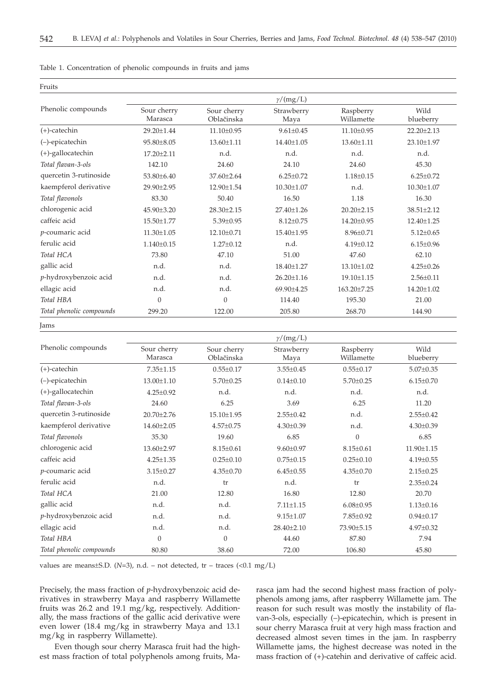| Table 1. Concentration of phenolic compounds in fruits and jams |  |
|-----------------------------------------------------------------|--|
|-----------------------------------------------------------------|--|

|                          |                        |                           | $\gamma/(mg/L)$    |                         |                   |
|--------------------------|------------------------|---------------------------|--------------------|-------------------------|-------------------|
| Phenolic compounds       | Sour cherry<br>Marasca | Sour cherry<br>Oblačinska | Strawberry<br>Maya | Raspberry<br>Willamette | Wild<br>blueberry |
| $(+)$ -catechin          | 29.20±1.44             | 11.10±0.95                | $9.61 \pm 0.45$    | 11.10±0.95              | $22.20 \pm 2.13$  |
| (-)-epicatechin          | 95.80±8.05             | 13.60±1.11                | 14.40±1.05         | 13.60±1.11              | 23.10±1.97        |
| (+)-gallocatechin        | 17.20±2.11             | n.d.                      | n.d.               | n.d.                    | n.d.              |
| Total flavan-3-ols       | 142.10                 | 24.60                     | 24.10              | 24.60                   | 45.30             |
| quercetin 3-rutinoside   | 53.80±6.40             | 37.60±2.64                | $6.25 \pm 0.72$    | $1.18 \pm 0.15$         | $6.25 \pm 0.72$   |
| kaempferol derivative    | 29.90±2.95             | 12.90±1.54                | $10.30 \pm 1.07$   | n.d.                    | $10.30 \pm 1.07$  |
| Total flavonols          | 83.30                  | 50.40                     | 16.50              | 1.18                    | 16.30             |
| chlorogenic acid         | 45.90±3.20             | 28.30±2.15                | 27.40±1.26         | $20.20 \pm 2.15$        | $38.51 \pm 2.12$  |
| caffeic acid             | 15.50±1.77             | $5.39 \pm 0.95$           | $8.12 \pm 0.75$    | 14.20±0.95              | 12.40±1.25        |
| p-coumaric acid          | $11.30 \pm 1.05$       | 12.10±0.71                | 15.40±1.95         | $8.96 \pm 0.71$         | $5.12 \pm 0.65$   |
| ferulic acid             | $1.140 \pm 0.15$       | $1.27 \pm 0.12$           | n.d.               | $4.19 \pm 0.12$         | $6.15 \pm 0.96$   |
| Total HCA                | 73.80                  | 47.10                     | 51.00              | 47.60                   | 62.10             |
| gallic acid              | n.d.                   | n.d.                      | 18.40±1.27         | 13.10±1.02              | $4.25 \pm 0.26$   |
| p-hydroxybenzoic acid    | n.d.                   | n.d.                      | $26.20 \pm 1.16$   | 19.10±1.15              | $2.56 \pm 0.11$   |
| ellagic acid             | n.d.                   | n.d.                      | 69.90±4.25         | 163.20±7.25             | 14.20±1.02        |
| Total HBA                | $\boldsymbol{0}$       | $\mathbf{0}$              | 114.40             | 195.30                  | 21.00             |
| Total phenolic compounds | 299.20                 | 122.00                    | 205.80             | 268.70                  | 144.90            |

Jams

Fruits

|                          |                        |                           | $\gamma/(mg/L)$    |                         |                   |
|--------------------------|------------------------|---------------------------|--------------------|-------------------------|-------------------|
| Phenolic compounds       | Sour cherry<br>Marasca | Sour cherry<br>Oblačinska | Strawberry<br>Maya | Raspberry<br>Willamette | Wild<br>blueberry |
| $(+)$ -catechin          | $7.35 \pm 1.15$        | $0.55 \pm 0.17$           | $3.55 \pm 0.45$    | $0.55 \pm 0.17$         | $5.07 \pm 0.35$   |
| $(-)$ -epicatechin       | 13.00±1.10             | $5.70 \pm 0.25$           | $0.14 \pm 0.10$    | $5.70 \pm 0.25$         | $6.15 \pm 0.70$   |
| $(+)$ -gallocatechin     | $4.25 \pm 0.92$        | n.d.                      | n.d.               | n.d.                    | n.d.              |
| Total flavan-3-ols       | 24.60                  | 6.25                      | 3.69               | 6.25                    | 11.20             |
| quercetin 3-rutinoside   | $20.70 \pm 2.76$       | $15.10 \pm 1.95$          | $2.55 \pm 0.42$    | n.d.                    | $2.55 \pm 0.42$   |
| kaempferol derivative    | $14.60 \pm 2.05$       | $4.57 \pm 0.75$           | $4.30 \pm 0.39$    | n.d.                    | $4.30 \pm 0.39$   |
| Total flavonols          | 35.30                  | 19.60                     | 6.85               | $\mathbf{0}$            | 6.85              |
| chlorogenic acid         | $13.60 \pm 2.97$       | $8.15 \pm 0.61$           | $9.60 \pm 0.97$    | $8.15 \pm 0.61$         | $11.90 \pm 1.15$  |
| caffeic acid             | $4.25 \pm 1.35$        | $0.25 \pm 0.10$           | $0.75 \pm 0.15$    | $0.25 \pm 0.10$         | $4.19 \pm 0.55$   |
| p-coumaric acid          | $3.15 \pm 0.27$        | $4.35 \pm 0.70$           | $6.45 \pm 0.55$    | $4.35 \pm 0.70$         | $2.15 \pm 0.25$   |
| ferulic acid             | n.d.                   | tr                        | n.d.               | tr                      | $2.35 \pm 0.24$   |
| Total HCA                | 21.00                  | 12.80                     | 16.80              | 12.80                   | 20.70             |
| gallic acid              | n.d.                   | n.d.                      | $7.11 \pm 1.15$    | $6.08 \pm 0.95$         | $1.13 \pm 0.16$   |
| p-hydroxybenzoic acid    | n.d.                   | n.d.                      | $9.15 \pm 1.07$    | 7.85±0.92               | $0.94 \pm 0.17$   |
| ellagic acid             | n.d.                   | n.d.                      | 28.40±2.10         | 73.90±5.15              | 4.97±0.32         |
| Total HBA                | $\Omega$               | $\theta$                  | 44.60              | 87.80                   | 7.94              |
| Total phenolic compounds | 80.80                  | 38.60                     | 72.00              | 106.80                  | 45.80             |

values are means±S.D. (*N*=3), n.d. – not detected, tr – traces (<0.1 mg/L)

Precisely, the mass fraction of *p*-hydroxybenzoic acid derivatives in strawberry Maya and raspberry Willamette fruits was 26.2 and 19.1 mg/kg, respectively. Additionally, the mass fractions of the gallic acid derivative were even lower (18.4 mg/kg in strawberry Maya and 13.1 mg/kg in raspberry Willamette).

Even though sour cherry Marasca fruit had the highest mass fraction of total polyphenols among fruits, Marasca jam had the second highest mass fraction of polyphenols among jams, after raspberry Willamette jam. The reason for such result was mostly the instability of flavan-3-ols, especially (–)-epicatechin, which is present in sour cherry Marasca fruit at very high mass fraction and decreased almost seven times in the jam. In raspberry Willamette jams, the highest decrease was noted in the mass fraction of (+)-catehin and derivative of caffeic acid.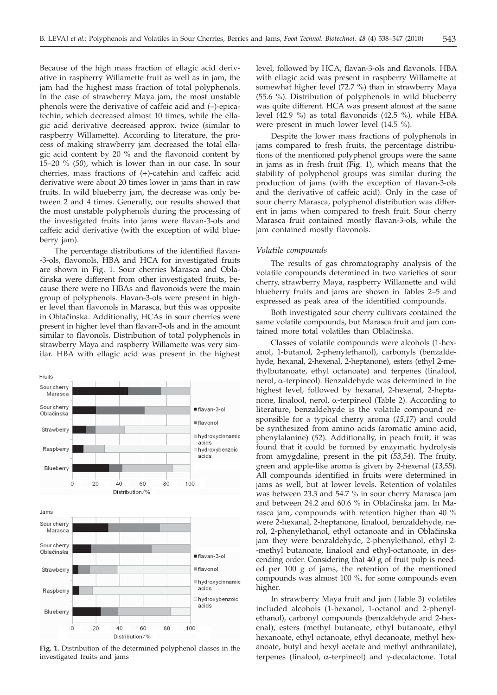Because of the high mass fraction of ellagic acid derivative in raspberry Willamette fruit as well as in jam, the jam had the highest mass fraction of total polyphenols. In the case of strawberry Maya jam, the most unstable phenols were the derivative of caffeic acid and (–)-epicatechin, which decreased almost 10 times, while the ellagic acid derivative decreased approx. twice (similar to raspberry Willamette). According to literature, the process of making strawberry jam decreased the total ellagic acid content by 20 % and the flavonoid content by 15–20 % (*50*), which is lower than in our case. In sour cherries, mass fractions of (+)-catehin and caffeic acid derivative were about 20 times lower in jams than in raw fruits. In wild blueberry jam, the decrease was only between 2 and 4 times. Generally, our results showed that the most unstable polyphenols during the processing of the investigated fruits into jams were flavan-3-ols and caffeic acid derivative (with the exception of wild blueberry jam).

The percentage distributions of the identified flavan- -3-ols, flavonols, HBA and HCA for investigated fruits are shown in Fig. 1. Sour cherries Marasca and Obla činska were different from other investigated fruits, because there were no HBAs and flavonoids were the main group of polyphenols. Flavan-3-ols were present in higher level than flavonols in Marasca, but this was opposite in Oblačinska. Additionally, HCAs in sour cherries were present in higher level than flavan-3-ols and in the amount similar to flavonols. Distribution of total polyphenols in strawberry Maya and raspberry Willamette was very similar. HBA with ellagic acid was present in the highest



**Fig. 1.** Distribution of the determined polyphenol classes in the investigated fruits and jams

level, followed by HCA, flavan-3-ols and flavonols. HBA with ellagic acid was present in raspberry Willamette at somewhat higher level (72.7 %) than in strawberry Maya (55.6 %). Distribution of polyphenols in wild blueberry was quite different. HCA was present almost at the same level (42.9 %) as total flavonoids (42.5 %), while HBA were present in much lower level (14.5 %).

Despite the lower mass fractions of polyphenols in jams compared to fresh fruits, the percentage distributions of the mentioned polyphenol groups were the same in jams as in fresh fruit (Fig. 1), which means that the stability of polyphenol groups was similar during the production of jams (with the exception of flavan-3-ols and the derivative of caffeic acid). Only in the case of sour cherry Marasca, polyphenol distribution was different in jams when compared to fresh fruit. Sour cherry Marasca fruit contained mostly flavan-3-ols, while the jam contained mostly flavonols.

# *Volatile compounds*

The results of gas chromatography analysis of the volatile compounds determined in two varieties of sour cherry, strawberry Maya, raspberry Willamette and wild blueberry fruits and jams are shown in Tables 2–5 and expressed as peak area of the identified compounds.

Both investigated sour cherry cultivars contained the same volatile compounds, but Marasca fruit and jam contained more total volatiles than Oblačinska.

Classes of volatile compounds were alcohols (1-hexanol, 1-butanol, 2-phenylethanol), carbonyls (benzaldehyde, hexanal, 2-hexenal, 2-heptanone), esters (ethyl 2-methylbutanoate, ethyl octanoate) and terpenes (linalool, nerol, a-terpineol). Benzaldehyde was determined in the highest level, followed by hexanal, 2-hexenal, 2-heptanone, linalool, nerol,  $\alpha$ -terpineol (Table 2). According to literature, benzaldehyde is the volatile compound responsible for a typical cherry aroma (*15,17*) and could be synthesized from amino acids (aromatic amino acid, phenylalanine) (*52*). Additionally, in peach fruit, it was found that it could be formed by enzymatic hydrolysis from amygdaline, present in the pit (*53,54*). The fruity, green and apple-like aroma is given by 2-hexenal (*13,55*). All compounds identified in fruits were determined in jams as well, but at lower levels. Retention of volatiles was between 23.3 and 54.7 % in sour cherry Marasca jam and between 24.2 and 60.6 % in Oblačinska jam. In Marasca jam, compounds with retention higher than 40 % were 2-hexanal, 2-heptanone, linalool, benzaldehyde, nerol, 2-phenylethanol, ethyl octanoate and in Oblačinska jam they were benzaldehyde, 2-phenylethanol, ethyl 2- -methyl butanoate, linalool and ethyl-octanoate, in descending order. Considering that 40 g of fruit pulp is needed per 100 g of jams, the retention of the mentioned compounds was almost 100 %, for some compounds even higher.

In strawberry Maya fruit and jam (Table 3) volatiles included alcohols (1-hexanol, 1-octanol and 2-phenylethanol), carbonyl compounds (benzaldehyde and 2-hexenal), esters (methyl butanoate, ethyl butanoate, ethyl hexanoate, ethyl octanoate, ethyl decanoate, methyl hexanoate, butyl and hexyl acetate and methyl anthranilate), terpenes (linalool,  $\alpha$ -terpineol) and  $\gamma$ -decalactone. Total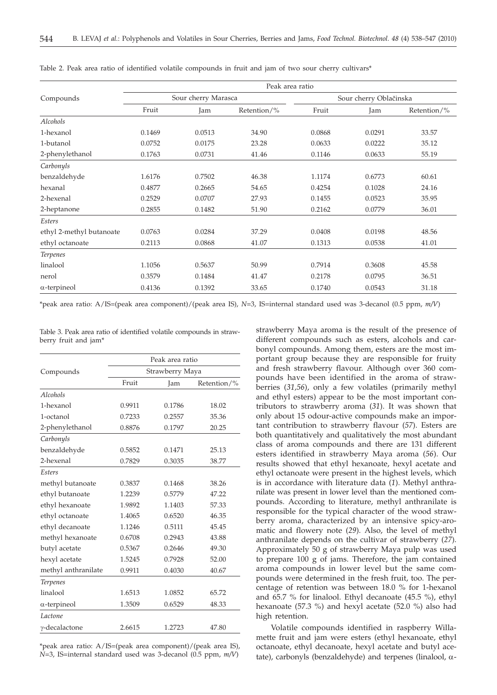|                          | Peak area ratio     |        |             |                        |        |             |
|--------------------------|---------------------|--------|-------------|------------------------|--------|-------------|
| Compounds                | Sour cherry Marasca |        |             | Sour cherry Oblačinska |        |             |
|                          | Fruit               | Jam    | Retention/% | Fruit                  | Jam    | Retention/% |
| Alcohols                 |                     |        |             |                        |        |             |
| 1-hexanol                | 0.1469              | 0.0513 | 34.90       | 0.0868                 | 0.0291 | 33.57       |
| 1-butanol                | 0.0752              | 0.0175 | 23.28       | 0.0633                 | 0.0222 | 35.12       |
| 2-phenylethanol          | 0.1763              | 0.0731 | 41.46       | 0.1146                 | 0.0633 | 55.19       |
| Carbonyls                |                     |        |             |                        |        |             |
| benzaldehyde             | 1.6176              | 0.7502 | 46.38       | 1.1174                 | 0.6773 | 60.61       |
| hexanal                  | 0.4877              | 0.2665 | 54.65       | 0.4254                 | 0.1028 | 24.16       |
| 2-hexenal                | 0.2529              | 0.0707 | 27.93       | 0.1455                 | 0.0523 | 35.95       |
| 2-heptanone              | 0.2855              | 0.1482 | 51.90       | 0.2162                 | 0.0779 | 36.01       |
| Esters                   |                     |        |             |                        |        |             |
| ethyl 2-methyl butanoate | 0.0763              | 0.0284 | 37.29       | 0.0408                 | 0.0198 | 48.56       |
| ethyl octanoate          | 0.2113              | 0.0868 | 41.07       | 0.1313                 | 0.0538 | 41.01       |
| <b>Terpenes</b>          |                     |        |             |                        |        |             |
| linalool                 | 1.1056              | 0.5637 | 50.99       | 0.7914                 | 0.3608 | 45.58       |
| nerol                    | 0.3579              | 0.1484 | 41.47       | 0.2178                 | 0.0795 | 36.51       |
| $\alpha$ -terpineol      | 0.4136              | 0.1392 | 33.65       | 0.1740                 | 0.0543 | 31.18       |

Table 2. Peak area ratio of identified volatile compounds in fruit and jam of two sour cherry cultivars\*

\*peak area ratio: A/IS=(peak area component)/(peak area IS), *N*=3, IS=internal standard used was 3-decanol (0.5 ppm, *m/V*)

Table 3. Peak area ratio of identified volatile compounds in strawberry fruit and jam\*

| Peak area ratio |        |                 |  |
|-----------------|--------|-----------------|--|
|                 |        |                 |  |
| Fruit           | Jam    | Retention/%     |  |
|                 |        |                 |  |
| 0.9911          | 0.1786 | 18.02           |  |
| 0.7233          | 0.2557 | 35.36           |  |
| 0.8876          | 0.1797 | 20.25           |  |
|                 |        |                 |  |
| 0.5852          | 0.1471 | 25.13           |  |
| 0.7829          | 0.3035 | 38.77           |  |
|                 |        |                 |  |
| 0.3837          | 0.1468 | 38.26           |  |
| 1.2239          | 0.5779 | 47.22           |  |
| 1.9892          | 1.1403 | 57.33           |  |
| 1.4065          | 0.6520 | 46.35           |  |
| 1.1246          | 0.5111 | 45.45           |  |
| 0.6708          | 0.2943 | 43.88           |  |
| 0.5367          | 0.2646 | 49.30           |  |
| 1.5245          | 0.7928 | 52.00           |  |
| 0.9911          | 0.4030 | 40.67           |  |
|                 |        |                 |  |
| 1.6513          | 1.0852 | 65.72           |  |
| 1.3509          | 0.6529 | 48.33           |  |
|                 |        |                 |  |
| 2.6615          | 1.2723 | 47.80           |  |
|                 |        | Strawberry Maya |  |

\*peak area ratio: A/IS=(peak area component)/(peak area IS), *N*=3, IS=internal standard used was 3-decanol (0.5 ppm, *m/V*)

strawberry Maya aroma is the result of the presence of different compounds such as esters, alcohols and carbonyl compounds. Among them, esters are the most important group because they are responsible for fruity and fresh strawberry flavour. Although over 360 compounds have been identified in the aroma of strawberries (*31,56*), only a few volatiles (primarily methyl and ethyl esters) appear to be the most important contributors to strawberry aroma (*31*). It was shown that only about 15 odour-active compounds make an important contribution to strawberry flavour (*57*). Esters are both quantitatively and qualitatively the most abundant class of aroma compounds and there are 131 different esters identified in strawberry Maya aroma (*56*). Our results showed that ethyl hexanoate, hexyl acetate and ethyl octanoate were present in the highest levels, which is in accordance with literature data (*1*). Methyl anthranilate was present in lower level than the mentioned compounds. According to literature, methyl anthranilate is responsible for the typical character of the wood strawberry aroma, characterized by an intensive spicy-aromatic and flowery note (*29*). Also, the level of methyl anthranilate depends on the cultivar of strawberry (*27*). Approximately 50 g of strawberry Maya pulp was used to prepare 100 g of jams. Therefore, the jam contained aroma compounds in lower level but the same compounds were determined in the fresh fruit, too. The percentage of retention was between 18.0 % for 1-hexanol and 65.7 % for linalool. Ethyl decanoate (45.5 %), ethyl hexanoate (57.3 %) and hexyl acetate (52.0 %) also had high retention.

Volatile compounds identified in raspberry Willamette fruit and jam were esters (ethyl hexanoate, ethyl octanoate, ethyl decanoate, hexyl acetate and butyl acetate), carbonyls (benzaldehyde) and terpenes (linalool,  $\alpha$ -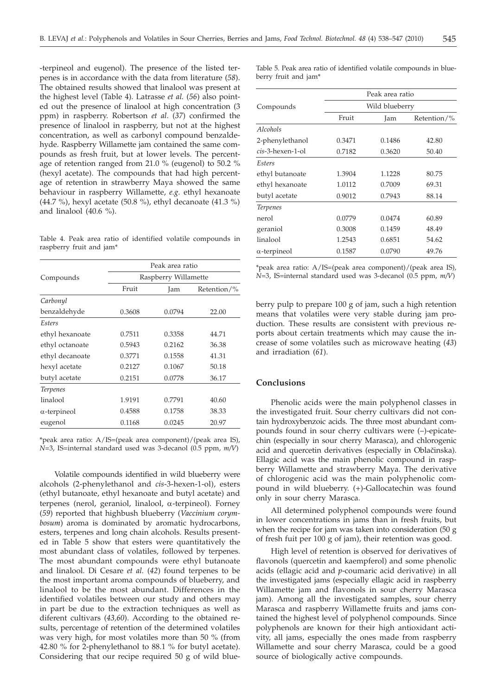-terpineol and eugenol). The presence of the listed terpenes is in accordance with the data from literature (*58*). The obtained results showed that linalool was present at the highest level (Table 4). Latrasse *et al.* (*56*) also pointed out the presence of linalool at high concentration (3 ppm) in raspberry. Robertson *et al*. (*37*) confirmed the presence of linalool in raspberry, but not at the highest concentration, as well as carbonyl compound benzaldehyde. Raspberry Willamette jam contained the same compounds as fresh fruit, but at lower levels. The percentage of retention ranged from 21.0 % (eugenol) to 50.2 % (hexyl acetate). The compounds that had high percentage of retention in strawberry Maya showed the same behaviour in raspberry Willamette, *e.g.* ethyl hexanoate (44.7 %), hexyl acetate (50.8 %), ethyl decanoate (41.3 %) and linalool (40.6 %).

Table 4. Peak area ratio of identified volatile compounds in raspberry fruit and jam\*

|                     | Peak area ratio      |        |       |  |  |
|---------------------|----------------------|--------|-------|--|--|
| Compounds           | Raspberry Willamette |        |       |  |  |
|                     | Fruit                | Jam    |       |  |  |
| Carbonyl            |                      |        |       |  |  |
| benzaldehyde        | 0.3608               | 0.0794 | 22.00 |  |  |
| Esters              |                      |        |       |  |  |
| ethyl hexanoate     | 0.7511               | 0.3358 | 44.71 |  |  |
| ethyl octanoate     | 0.5943               | 0.2162 | 36.38 |  |  |
| ethyl decanoate     | 0.3771               | 0.1558 | 41.31 |  |  |
| hexyl acetate       | 0.2127               | 0.1067 | 50.18 |  |  |
| butyl acetate       | 0.2151               | 0.0778 | 36.17 |  |  |
| <b>Terpenes</b>     |                      |        |       |  |  |
| linalool            | 1.9191               | 0.7791 | 40.60 |  |  |
| $\alpha$ -terpineol | 0.4588               | 0.1758 | 38.33 |  |  |
| eugenol             | 0.1168               | 0.0245 | 20.97 |  |  |

\*peak area ratio: A/IS=(peak area component)/(peak area IS), *N*=3, IS=internal standard used was 3-decanol (0.5 ppm, *m/V*)

Volatile compounds identified in wild blueberry were alcohols (2-phenylethanol and *cis*-3-hexen-1-ol), esters (ethyl butanoate, ethyl hexanoate and butyl acetate) and terpenes (nerol, geraniol, linalool, a-terpineol). Forney (*59*) reported that highbush blueberry (*Vaccinium corymbosum*) aroma is dominated by aromatic hydrocarbons, esters, terpenes and long chain alcohols. Results presented in Table 5 show that esters were quantitatively the most abundant class of volatiles, followed by terpenes. The most abundant compounds were ethyl butanoate and linalool. Di Cesare *et al.* (*42*) found terpenes to be the most important aroma compounds of blueberry, and linalool to be the most abundant. Differences in the identified volatiles between our study and others may in part be due to the extraction techniques as well as diferent cultivars (*43,60*). According to the obtained results, percentage of retention of the determined volatiles was very high, for most volatiles more than 50 % (from 42.80 % for 2-phenylethanol to 88.1 % for butyl acetate). Considering that our recipe required 50 g of wild blue-

Table 5. Peak area ratio of identified volatile compounds in blueberry fruit and jam\*

|                     |                | Peak area ratio |                 |  |
|---------------------|----------------|-----------------|-----------------|--|
| Compounds           | Wild blueberry |                 |                 |  |
|                     | Fruit          | Jam             | Retention/ $\%$ |  |
| Alcohols            |                |                 |                 |  |
| 2-phenylethanol     | 0.3471         | 0.1486          | 42.80           |  |
| cis-3-hexen-1-ol    | 0.7182         | 0.3620          | 50.40           |  |
| Esters              |                |                 |                 |  |
| ethyl butanoate     | 1.3904         | 1.1228          | 80.75           |  |
| ethyl hexanoate     | 1.0112         | 0.7009          | 69.31           |  |
| butyl acetate       | 0.9012         | 0.7943          | 88.14           |  |
| <b>Terpenes</b>     |                |                 |                 |  |
| nerol               | 0.0779         | 0.0474          | 60.89           |  |
| geraniol            | 0.3008         | 0.1459          | 48.49           |  |
| linalool            | 1.2543         | 0.6851          | 54.62           |  |
| $\alpha$ -terpineol | 0.1587         | 0.0790          | 49.76           |  |
|                     |                |                 |                 |  |

\*peak area ratio: A/IS=(peak area component)/(peak area IS), *N*=3, IS=internal standard used was 3-decanol (0.5 ppm, *m/V*)

berry pulp to prepare 100 g of jam, such a high retention means that volatiles were very stable during jam production. These results are consistent with previous reports about certain treatments which may cause the increase of some volatiles such as microwave heating (*43*) and irradiation (*61*).

# **Conclusions**

Phenolic acids were the main polyphenol classes in the investigated fruit. Sour cherry cultivars did not contain hydroxybenzoic acids. The three most abundant compounds found in sour cherry cultivars were (–)-epicatechin (especially in sour cherry Marasca), and chlorogenic acid and quercetin derivatives (especially in Oblačinska). Ellagic acid was the main phenolic compound in raspberry Willamette and strawberry Maya. The derivative of chlorogenic acid was the main polyphenolic compound in wild blueberry. (+)-Gallocatechin was found only in sour cherry Marasca.

All determined polyphenol compounds were found in lower concentrations in jams than in fresh fruits, but when the recipe for jam was taken into consideration (50 g of fresh fuit per 100 g of jam), their retention was good.

High level of retention is observed for derivatives of flavonols (quercetin and kaempferol) and some phenolic acids (ellagic acid and *p*-coumaric acid derivative) in all the investigated jams (especially ellagic acid in raspberry Willamette jam and flavonols in sour cherry Marasca jam). Among all the investigated samples, sour cherry Marasca and raspberry Willamette fruits and jams contained the highest level of polyphenol compounds. Since polyphenols are known for their high antioxidant activity, all jams, especially the ones made from raspberry Willamette and sour cherry Marasca, could be a good source of biologically active compounds.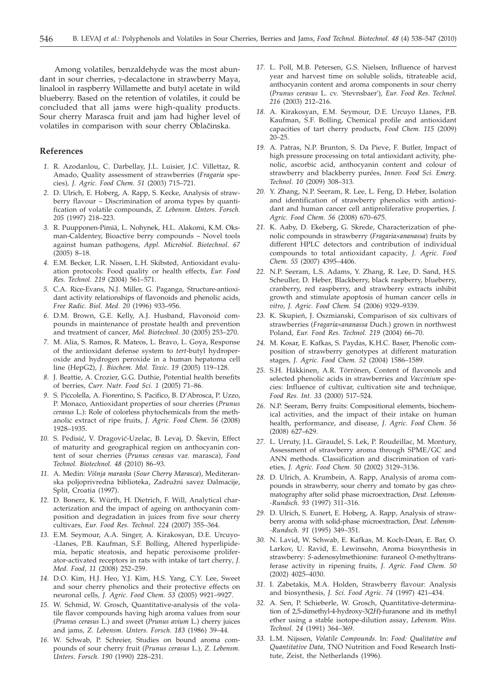Among volatiles, benzaldehyde was the most abundant in sour cherries, y-decalactone in strawberry Maya, linalool in raspberry Willamette and butyl acetate in wild blueberry. Based on the retention of volatiles, it could be concluded that all jams were high-quality products. Sour cherry Marasca fruit and jam had higher level of volatiles in comparison with sour cherry Oblačinska.

## **References**

- *1.* R. Azodanlou, C. Darbellay, J.L. Luisier, J.C. Villettaz, R. Amado, Quality assessment of strawberries (*Fragaria* species)*, J. Agric. Food Chem. 51* (2003) 715–721.
- *2.* D. Ulrich, E. Hoberg, A. Rapp, S. Kecke, Analysis of strawberry flavour – Discrimination of aroma types by quantification of volatile compounds*, Z. Lebensm. Unters. Forsch. 205* (1997) 218–223.
- *3.* R. Puupponen-Pimiä, L. Nohynek, H.L. Alakomi, K.M. Oksman-Caldentey, Bioactive berry compounds – Novel tools against human pathogens*, Appl. Microbiol. Biotechnol*. *67* (2005) 8–18.
- *4.* E.M. Becker, L.R. Nissen, L.H. Skibsted, Antioxidant evaluation protocols: Food quality or health effects*, Eur. Food Res. Technol. 219* (2004) 561–571.
- *5.* C.A. Rice-Evans, N.J. Miller, G. Paganga, Structure-antioxidant activity relationships of flavonoids and phenolic acids*, Free Radic. Biol. Med. 20* (1996) 933–956.
- *6.* D.M. Brown, G.E. Kelly, A.J. Husband, Flavonoid compounds in maintenance of prostate health and prevention and treatment of cancer*, Mol. Biotechnol*. *30* (2005) 253–270.
- *7.* M. Alia, S. Ramos, R. Mateos, L. Bravo, L. Goya, Response of the antioxidant defense system to *tert*-butyl hydroperoxide and hydrogen peroxide in a human hepatoma cell line (HepG2)*, J. Biochem. Mol. Toxic*. *19* (2005) 119–128.
- *8.* J. Beattie, A. Crozier, G.G. Duthie, Potential health benefits of berries*, Curr. Nutr. Food Sci. 1* (2005) 71–86.
- *9.* S. Piccolella, A. Fiorentino, S. Pacifico, B. D'Abrosca, P. Uzzo, P. Monaco, Antioxidant properties of sour cherries (*Prunus cerasus* L.): Role of colorless phytochemicals from the methanolic extract of ripe fruits*, J. Agric. Food Chem. 56* (2008) 1928–1935.
- 10. S. Pedisić, V. Dragović-Uzelac, B. Levaj, D. Škevin, Effect of maturity and geographical region on anthocyanin content of sour cherries (*Prunus cerasus* var. marasca)*, Food Technol. Biotechnol. 48* (2010) 86–93.
- *11.* A. Medin: *Vi{nja maraska* (*Sour Cherry Marasca*), Mediteranska poljoprivredna biblioteka, Zadružni savez Dalmacije, Split, Croatia (1997).
- *12.* D. Bonerz, K. Würth, H. Dietrich, F. Will, Analytical characterization and the impact of ageing on anthocyanin composition and degradation in juices from five sour cherry cultivars*, Eur. Food Res. Technol*. *224* (2007) 355–364.
- *13.* E.M. Seymour, A.A. Singer, A. Kirakosyan, D.E. Urcuyo- -Llanes, P.B. Kaufman, S.F. Bolling, Altered hyperlipidemia, hepatic steatosis, and hepatic peroxisome proliferator-activated receptors in rats with intake of tart cherry*, J. Med. Food, 11* (2008) 252–259.
- *14.* D.O. Kim, H.J. Heo, Y.J. Kim, H.S. Yang, C.Y. Lee, Sweet and sour cherry phenolics and their protective effects on neuronal cells*, J. Agric. Food Chem. 53* (2005) 9921–9927.
- *15.* W. Schmid, W. Grosch, Quantitative-analysis of the volatile flavor compounds having high aroma values from sour (*Prunus cerasus* L.) and sweet (*Prunus avium* L.) cherry juices and jams*, Z. Lebensm. Unters. Forsch. 183* (1986) 39–44.
- *16.* W. Schwab, P. Schreier, Studies on bound aroma compounds of sour cherry fruit (*Prunus cerasus* L.)*, Z. Lebensm. Unters. Forsch. 190* (1990) 228–231.
- *17.* L. Poll, M.B. Petersen, G.S. Nielsen, Influence of harvest year and harvest time on soluble solids, titrateable acid, anthocyanin content and aroma components in sour cherry (*Prunus cerasus* L. cv. 'Stevnsbaer')*, Eur. Food Res. Technol. 216* (2003) 212–216.
- *18.* A. Kirakosyan, E.M. Seymour, D.E. Urcuyo Llanes, P.B. Kaufman, S.F. Bolling, Chemical profile and antioxidant capacities of tart cherry products*, Food Chem. 115* (2009) 20–25.
- *19.* A. Patras, N.P. Brunton, S. Da Pieve, F. Butler, Impact of high pressure processing on total antioxidant activity, phenolic, ascorbic acid, anthocyanin content and colour of strawberry and blackberry purées*, Innov. Food Sci. Emerg. Technol. 10* (2009) 308–313.
- *20.* Y. Zhang, N.P. Seeram, R. Lee, L. Feng, D. Heber, Isolation and identification of strawberry phenolics with antioxidant and human cancer cell antiproliferative properties*, J. Agric. Food Chem. 56* (2008) 670–675.
- *21.* K. Aaby, D. Ekeberg, G. Skrede, Characterization of phenolic compounds in strawberry (*Fragaria´ananassa*) fruits by different HPLC detectors and contribution of individual compounds to total antioxidant capacity*, J. Agric. Food Chem. 55* (2007) 4395–4406.
- *22.* N.P. Seeram, L.S. Adams, Y. Zhang, R. Lee, D. Sand, H.S. Scheuller, D. Heber, Blackberry, black raspberry, blueberry, cranberry, red raspberry, and strawberry extracts inhibit growth and stimulate apoptosis of human cancer cells *in vitro, J. Agric. Food Chem. 54* (2006) 9329–9339.
- 23. K. Skupień, J. Oszmianski, Comparison of six cultivars of strawberries (*Fragaria´ananassa* Duch.) grown in northwest Poland*, Eur. Food Res. Technol. 219* (2004) 66–70.
- *24.* M. Kosar, E. Kafkas, S. Paydas, K.H.C. Baser, Phenolic composition of strawberry genotypes at different maturation stages*, J. Agric. Food Chem. 52* (2004) 1586–1589.
- *25.* S.H. Häkkinen, A.R. Törrönen, Content of flavonols and selected phenolic acids in strawberries and *Vaccinium* species: Influence of cultivar, cultivation site and technique*, Food Res. Int. 33* (2000) 517–524.
- *26.* N.P. Seeram, Berry fruits: Compositional elements, biochemical activities, and the impact of their intake on human health, performance, and disease*, J. Agric. Food Chem. 56* (2008) 627–629.
- *27.* L. Urruty, J.L. Giraudel, S. Lek, P. Roudeillac, M. Montury, Assessment of strawberry aroma through SPME/GC and ANN methods. Classification and discrimination of varieties*, J. Agric. Food Chem. 50* (2002) 3129–3136.
- *28.* D. Ulrich, A. Krumbein, A. Rapp, Analysis of aroma compounds in strawberry, sour cherry and tomato by gas chromatography after solid phase microextraction*, Deut. Lebensm- -Rundsch. 93* (1997) 311–316.
- *29.* D. Ulrich, S. Eunert, E. Hoberg, A. Rapp, Analysis of strawberry aroma with solid-phase microextraction*, Deut. Lebensm- -Rundsch. 91* (1995) 349–351.
- *30.* N. Lavid, W. Schwab, E. Kafkas, M. Koch-Dean, E. Bar, O. Larkov, U. Ravid, E. Lewinsohn, Aroma biosynthesis in strawberry: *S*-adenosylmethionine: furaneol *O*-methyltransferase activity in ripening fruits*, J. Agric. Food Chem. 50* (2002) 4025–4030.
- *31.* I. Zabetakis, M.A. Holden, Strawberry flavour: Analysis and biosynthesis*, J. Sci. Food Agric. 74* (1997) 421–434.
- *32.* A. Sen, P. Schieberle, W. Grosch, Quantitative-determination of 2,5-dimethyl-4-hydroxy-3(2*H*)-furanone and its methyl ether using a stable isotope-dilution assay*, Lebensm. Wiss. Technol. 24* (1991) 364–369.
- *33.* L.M. Nijssen, *Volatile Compounds*. In: *Food: Qualitative and Quantitative Data*, TNO Nutrition and Food Research Institute, Zeist, the Netherlands (1996).